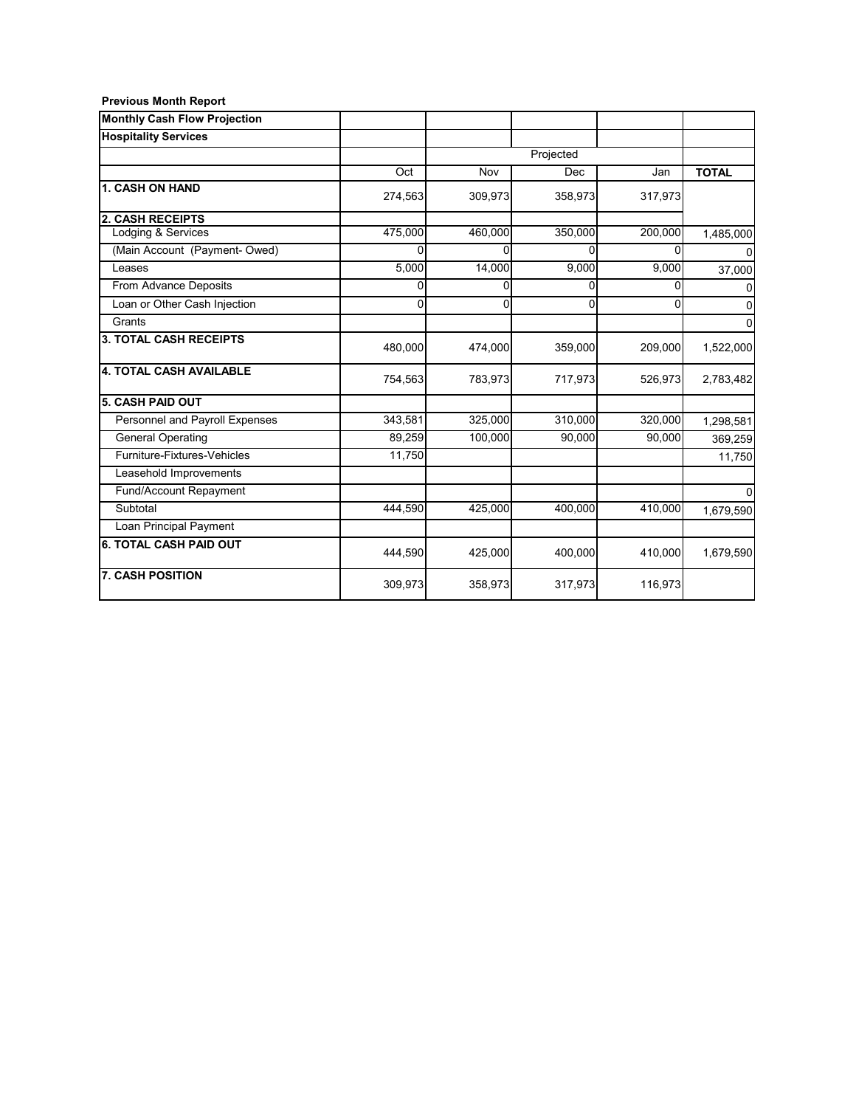| <b>Previous Month Report</b> |  |  |
|------------------------------|--|--|
|------------------------------|--|--|

| <b>Monthly Cash Flow Projection</b> |         |           |         |          |              |
|-------------------------------------|---------|-----------|---------|----------|--------------|
| <b>Hospitality Services</b>         |         |           |         |          |              |
|                                     |         | Projected |         |          |              |
|                                     | Oct     | Nov       | Dec     | Jan      | <b>TOTAL</b> |
| <b>1. CASH ON HAND</b>              | 274,563 | 309,973   | 358,973 | 317,973  |              |
| <b>2. CASH RECEIPTS</b>             |         |           |         |          |              |
| Lodging & Services                  | 475,000 | 460,000   | 350,000 | 200,000  | 1,485,000    |
| (Main Account (Payment- Owed)       | n       | U         | n       | U        |              |
| Leases                              | 5,000   | 14,000    | 9,000   | 9,000    | 37,000       |
| From Advance Deposits               | U       | 0         | ŋ       | $\Omega$ |              |
| Loan or Other Cash Injection        | 0       | 0         | 0       | $\Omega$ | 0            |
| Grants                              |         |           |         |          | 0            |
| <b>3. TOTAL CASH RECEIPTS</b>       | 480,000 | 474,000   | 359,000 | 209,000  | 1,522,000    |
| <b>4. TOTAL CASH AVAILABLE</b>      | 754,563 | 783,973   | 717,973 | 526,973  | 2,783,482    |
| <b>5. CASH PAID OUT</b>             |         |           |         |          |              |
| Personnel and Payroll Expenses      | 343,581 | 325,000   | 310,000 | 320,000  | 1,298,581    |
| <b>General Operating</b>            | 89,259  | 100,000   | 90,000  | 90,000   | 369,259      |
| Furniture-Fixtures-Vehicles         | 11,750  |           |         |          | 11,750       |
| Leasehold Improvements              |         |           |         |          |              |
| Fund/Account Repayment              |         |           |         |          |              |
| Subtotal                            | 444,590 | 425,000   | 400,000 | 410,000  | 1,679,590    |
| Loan Principal Payment              |         |           |         |          |              |
| <b>6. TOTAL CASH PAID OUT</b>       | 444,590 | 425,000   | 400,000 | 410,000  | 1,679,590    |
| <b>7. CASH POSITION</b>             | 309,973 | 358,973   | 317,973 | 116,973  |              |